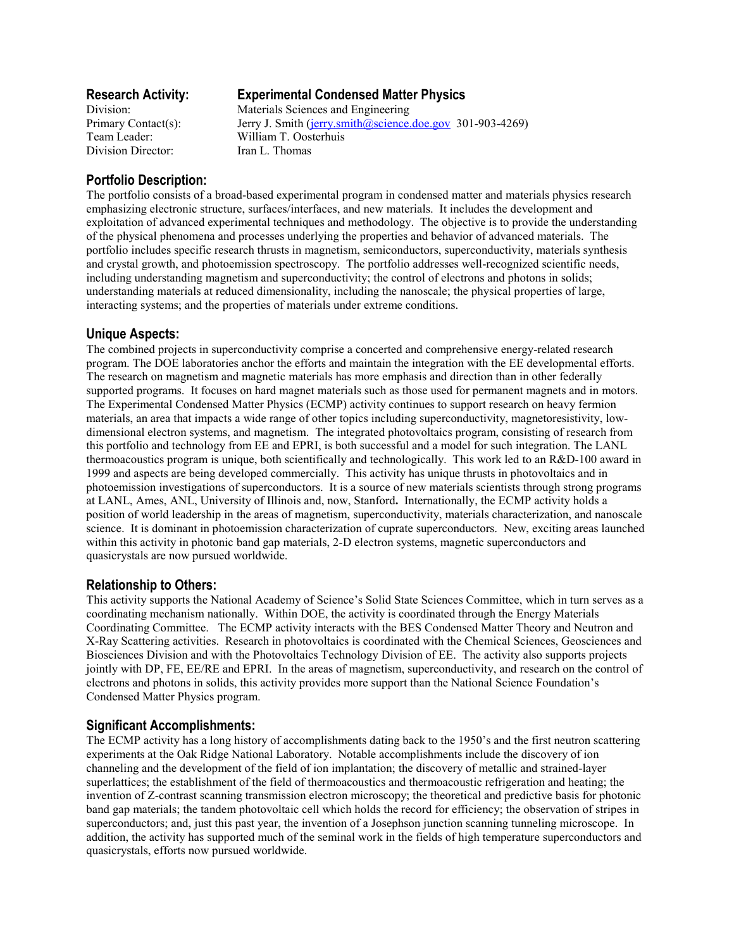Division Director: Iran L. Thomas

# **Research Activity: Experimental Condensed Matter Physics**

Division: Materials Sciences and Engineering Primary Contact(s): Jerry J. Smith (jerry.smith@science.doe.gov 301-903-4269) Team Leader: William T. Oosterhuis

# **Portfolio Description:**

The portfolio consists of a broad-based experimental program in condensed matter and materials physics research emphasizing electronic structure, surfaces/interfaces, and new materials. It includes the development and exploitation of advanced experimental techniques and methodology. The objective is to provide the understanding of the physical phenomena and processes underlying the properties and behavior of advanced materials. The portfolio includes specific research thrusts in magnetism, semiconductors, superconductivity, materials synthesis and crystal growth, and photoemission spectroscopy. The portfolio addresses well-recognized scientific needs, including understanding magnetism and superconductivity; the control of electrons and photons in solids; understanding materials at reduced dimensionality, including the nanoscale; the physical properties of large, interacting systems; and the properties of materials under extreme conditions.

## **Unique Aspects:**

The combined projects in superconductivity comprise a concerted and comprehensive energy-related research program. The DOE laboratories anchor the efforts and maintain the integration with the EE developmental efforts. The research on magnetism and magnetic materials has more emphasis and direction than in other federally supported programs. It focuses on hard magnet materials such as those used for permanent magnets and in motors. The Experimental Condensed Matter Physics (ECMP) activity continues to support research on heavy fermion materials, an area that impacts a wide range of other topics including superconductivity, magnetoresistivity, lowdimensional electron systems, and magnetism. The integrated photovoltaics program, consisting of research from this portfolio and technology from EE and EPRI, is both successful and a model for such integration. The LANL thermoacoustics program is unique, both scientifically and technologically. This work led to an R&D-100 award in 1999 and aspects are being developed commercially. This activity has unique thrusts in photovoltaics and in photoemission investigations of superconductors. It is a source of new materials scientists through strong programs at LANL, Ames, ANL, University of Illinois and, now, Stanford**.** Internationally, the ECMP activity holds a position of world leadership in the areas of magnetism, superconductivity, materials characterization, and nanoscale science. It is dominant in photoemission characterization of cuprate superconductors. New, exciting areas launched within this activity in photonic band gap materials, 2-D electron systems, magnetic superconductors and quasicrystals are now pursued worldwide.

## **Relationship to Others:**

This activity supports the National Academy of Science's Solid State Sciences Committee, which in turn serves as a coordinating mechanism nationally. Within DOE, the activity is coordinated through the Energy Materials Coordinating Committee. The ECMP activity interacts with the BES Condensed Matter Theory and Neutron and X-Ray Scattering activities. Research in photovoltaics is coordinated with the Chemical Sciences, Geosciences and Biosciences Division and with the Photovoltaics Technology Division of EE. The activity also supports projects jointly with DP, FE, EE/RE and EPRI. In the areas of magnetism, superconductivity, and research on the control of electrons and photons in solids, this activity provides more support than the National Science Foundation's Condensed Matter Physics program.

### **Significant Accomplishments:**

The ECMP activity has a long history of accomplishments dating back to the 1950's and the first neutron scattering experiments at the Oak Ridge National Laboratory. Notable accomplishments include the discovery of ion channeling and the development of the field of ion implantation; the discovery of metallic and strained-layer superlattices; the establishment of the field of thermoacoustics and thermoacoustic refrigeration and heating; the invention of Z-contrast scanning transmission electron microscopy; the theoretical and predictive basis for photonic band gap materials; the tandem photovoltaic cell which holds the record for efficiency; the observation of stripes in superconductors; and, just this past year, the invention of a Josephson junction scanning tunneling microscope. In addition, the activity has supported much of the seminal work in the fields of high temperature superconductors and quasicrystals, efforts now pursued worldwide.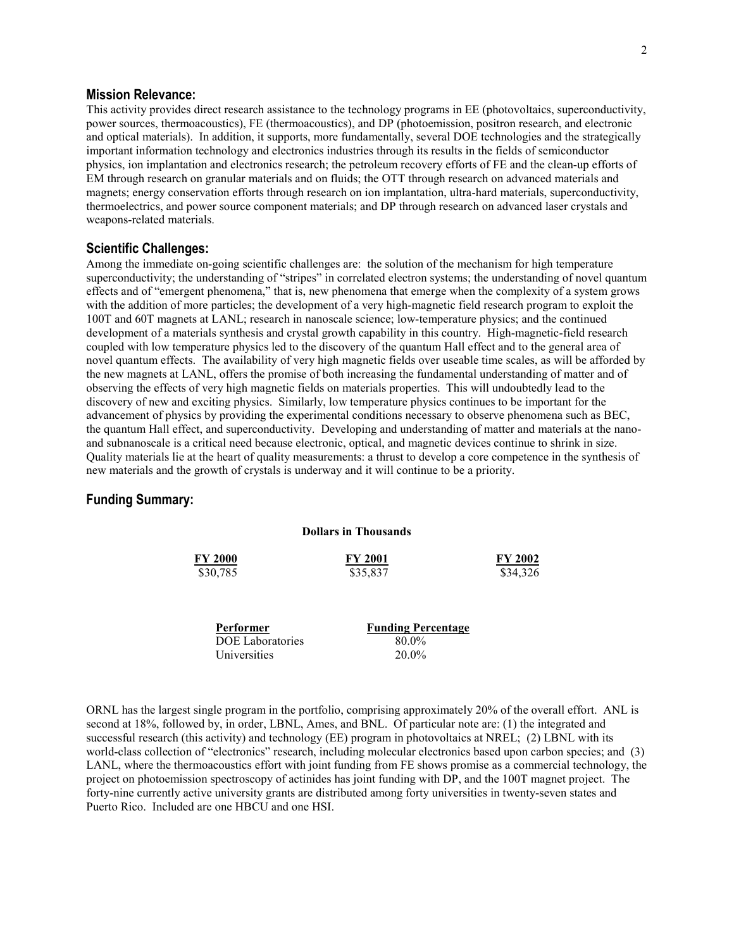#### **Mission Relevance:**

This activity provides direct research assistance to the technology programs in EE (photovoltaics, superconductivity, power sources, thermoacoustics), FE (thermoacoustics), and DP (photoemission, positron research, and electronic and optical materials). In addition, it supports, more fundamentally, several DOE technologies and the strategically important information technology and electronics industries through its results in the fields of semiconductor physics, ion implantation and electronics research; the petroleum recovery efforts of FE and the clean-up efforts of EM through research on granular materials and on fluids; the OTT through research on advanced materials and magnets; energy conservation efforts through research on ion implantation, ultra-hard materials, superconductivity, thermoelectrics, and power source component materials; and DP through research on advanced laser crystals and weapons-related materials.

#### **Scientific Challenges:**

Among the immediate on-going scientific challenges are: the solution of the mechanism for high temperature superconductivity; the understanding of "stripes" in correlated electron systems; the understanding of novel quantum effects and of "emergent phenomena," that is, new phenomena that emerge when the complexity of a system grows with the addition of more particles; the development of a very high-magnetic field research program to exploit the 100T and 60T magnets at LANL; research in nanoscale science; low-temperature physics; and the continued development of a materials synthesis and crystal growth capability in this country. High-magnetic-field research coupled with low temperature physics led to the discovery of the quantum Hall effect and to the general area of novel quantum effects. The availability of very high magnetic fields over useable time scales, as will be afforded by the new magnets at LANL, offers the promise of both increasing the fundamental understanding of matter and of observing the effects of very high magnetic fields on materials properties. This will undoubtedly lead to the discovery of new and exciting physics. Similarly, low temperature physics continues to be important for the advancement of physics by providing the experimental conditions necessary to observe phenomena such as BEC, the quantum Hall effect, and superconductivity. Developing and understanding of matter and materials at the nanoand subnanoscale is a critical need because electronic, optical, and magnetic devices continue to shrink in size. Quality materials lie at the heart of quality measurements: a thrust to develop a core competence in the synthesis of new materials and the growth of crystals is underway and it will continue to be a priority.

#### **Funding Summary:**

| ронагэ нг тибизаниз |                |                |
|---------------------|----------------|----------------|
| <b>FY 2000</b>      | <b>FY 2001</b> | <b>FY 2002</b> |
| \$30,785            | \$35,837       | \$34,326       |
|                     |                |                |
|                     |                |                |

**Dollars in Thousands** 

| Performer               | <b>Funding Percentage</b> |  |
|-------------------------|---------------------------|--|
| <b>DOE Laboratories</b> | 80.0%                     |  |
| Universities            | $20.0\%$                  |  |

ORNL has the largest single program in the portfolio, comprising approximately 20% of the overall effort. ANL is second at 18%, followed by, in order, LBNL, Ames, and BNL. Of particular note are: (1) the integrated and successful research (this activity) and technology (EE) program in photovoltaics at NREL; (2) LBNL with its world-class collection of "electronics" research, including molecular electronics based upon carbon species; and (3) LANL, where the thermoacoustics effort with joint funding from FE shows promise as a commercial technology, the project on photoemission spectroscopy of actinides has joint funding with DP, and the 100T magnet project. The forty-nine currently active university grants are distributed among forty universities in twenty-seven states and Puerto Rico. Included are one HBCU and one HSI.